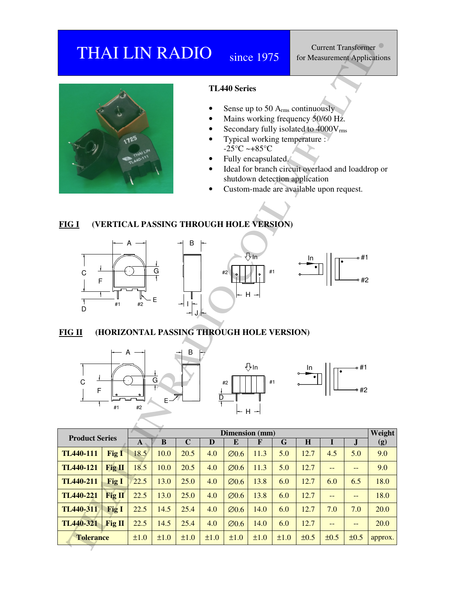## THAI LIN RADIO since 1975



#### **TL440 Series**

- Sense up to 50  $A<sub>rms</sub>$  continuously
- Mains working frequency 50/60 Hz.
- Secondary fully isolated to  $4000V_{rms}$
- Typical working temperature :  $-25^{\circ}$ C ~ $+85^{\circ}$ C
- Fully encapsulated.<sup>1</sup>
- Ideal for branch circuit overlaod and loaddrop or shutdown detection application
- Custom-made are available upon request.

#### **FIG I (VERTICAL PASSING THROUGH HOLE VERSION)**



#### **FIG II (HORIZONTAL PASSING THROUGH HOLE VERSION)**





| <b>THAI LIN RADIO</b>                                                                                                                                                                                                                                                                                                                                                                                                                                                               |           |                         | since 1975              |      | <b>Current Transformer</b><br>for Measurement Applications |                         |                         |                |      |                                               |               |
|-------------------------------------------------------------------------------------------------------------------------------------------------------------------------------------------------------------------------------------------------------------------------------------------------------------------------------------------------------------------------------------------------------------------------------------------------------------------------------------|-----------|-------------------------|-------------------------|------|------------------------------------------------------------|-------------------------|-------------------------|----------------|------|-----------------------------------------------|---------------|
| <b>TL440 Series</b><br>Sense up to 50 $Arms$ continuously<br>Mains working frequency 50/60 Hz.<br>Secondary fully isolated to 4000Vrms<br>Typical working temperature :<br>-25 $\mathrm{^{\circ}C}$ ~+85 $\mathrm{^{\circ}C}$<br>Fully encapsulated.<br>Ideal for branch circuit overlaod and loaddrop or<br>shutdown detection application<br>Custom-made are available upon request.<br>(VERTICAL PASSING THROUGH HOLE VERSION)<br><b>FIG I</b><br>в<br>∯In<br>G<br>#1<br>С<br>#2 |           |                         |                         |      |                                                            |                         |                         |                | 41 ه |                                               |               |
| #2<br>F<br>$H -$<br>E<br>#1<br>#2<br>D<br>(HORIZONTAL PASSING THROUGH HOLE VERSION)<br><b>FIG II</b>                                                                                                                                                                                                                                                                                                                                                                                |           |                         |                         |      |                                                            |                         |                         |                |      |                                               |               |
| A<br>В<br>$\bigoplus$ In<br>1# ⊸<br>In<br>٠<br>G<br>44<br>$\mathsf C$<br>#1<br>#2<br>$\mathsf F$<br>42 ه<br>$\frac{1}{D}$<br>$E -$<br>#1<br>#2<br>┝╸ゖ╺┥                                                                                                                                                                                                                                                                                                                             |           |                         |                         |      |                                                            |                         |                         |                |      |                                               |               |
| <b>Product Series</b>                                                                                                                                                                                                                                                                                                                                                                                                                                                               | ${\bf A}$ | $\overline{\mathbf{B}}$ | $\overline{\mathbf{C}}$ | D    | Dimension (mm)<br>$\overline{E}$                           | $\overline{\mathbf{F}}$ | $\overline{\mathbf{G}}$ | $\overline{H}$ | I    | $\bf J$                                       | Weight<br>(g) |
| <b>TL440-111</b><br>Fig I                                                                                                                                                                                                                                                                                                                                                                                                                                                           | 18.5      | 10.0                    | 20.5                    | 4.0  | $\varnothing$ 0.6                                          | 11.3                    | 5.0                     | 12.7           | 4.5  | 5.0                                           | 9.0           |
| <b>TL440-121</b><br>Fig <sub>II</sub>                                                                                                                                                                                                                                                                                                                                                                                                                                               | 18.5      | 10.0                    | 20.5                    | 4.0  | $\varnothing$ 0.6                                          | 11.3                    | 5.0                     | 12.7           | $-$  | $\overline{\phantom{a}}$                      | 9.0           |
| <b>TL440-211</b><br><b>Fig I</b>                                                                                                                                                                                                                                                                                                                                                                                                                                                    | 22.5      | 13.0                    | 25.0                    | 4.0  | $\varnothing$ 0.6                                          | 13.8                    | 6.0                     | 12.7           | 6.0  | 6.5                                           | 18.0          |
| <b>TL440-221</b><br>Fig II                                                                                                                                                                                                                                                                                                                                                                                                                                                          | 22.5      | 13.0                    | 25.0                    | 4.0  | $\varnothing$ 0.6                                          | 13.8                    | 6.0                     | 12.7           | $--$ | $\mathord{\hspace{1pt}\text{--}\hspace{1pt}}$ | 18.0          |
| <b>TL440-311</b><br><b>Fig I</b>                                                                                                                                                                                                                                                                                                                                                                                                                                                    | 22.5      | 14.5                    | 25.4                    | 4.0  | $\varnothing$ 0.6                                          | 14.0                    | 6.0                     | 12.7           | 7.0  | 7.0                                           | 20.0          |
| <b>TL440-321</b><br>Fig II                                                                                                                                                                                                                                                                                                                                                                                                                                                          | 22.5      | 14.5                    | 25.4                    | 4.0  | $\varnothing$ 0.6                                          | 14.0                    | 6.0                     | 12.7           | $--$ | $\rightarrow$                                 | 20.0          |
| <b>Tolerance</b>                                                                                                                                                                                                                                                                                                                                                                                                                                                                    | ±1.0      | ±1.0                    | ±1.0                    | ±1.0 | ±1.0                                                       | ±1.0                    | ±1.0                    | ±0.5           | ±0.5 | ±0.5                                          | approx.       |